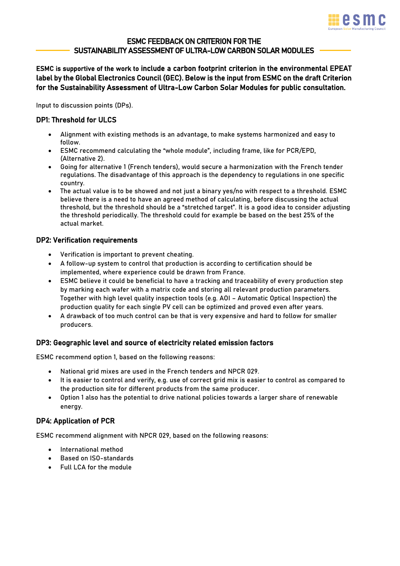

# ESMC FEEDBACK ON CRITERION FOR THE SUSTAINABILITY ASSESSMENT OF ULTRA-LOW CARBON SOLAR MODULES

ESMC is supportive of the work to include a carbon footprint criterion in the environmental EPEAT label by the Global Electronics Council (GEC). Below is the input from ESMC on the draft Criterion for the Sustainability Assessment of Ultra-Low Carbon Solar Modules for public consultation.

Input to discussion points (DPs).

## DP1: Threshold for ULCS

- Alignment with existing methods is an advantage, to make systems harmonized and easy to follow.
- ESMC recommend calculating the "whole module", including frame, like for PCR/EPD, (Alternative 2).
- Going for alternative 1 (French tenders), would secure a harmonization with the French tender regulations. The disadvantage of this approach is the dependency to regulations in one specific country.
- The actual value is to be showed and not just a binary yes/no with respect to a threshold. ESMC believe there is a need to have an agreed method of calculating, before discussing the actual threshold, but the threshold should be a "stretched target". It is a good idea to consider adjusting the threshold periodically. The threshold could for example be based on the best 25% of the actual market.

## DP2: Verification requirements

- Verification is important to prevent cheating.
- A follow-up system to control that production is according to certification should be implemented, where experience could be drawn from France.
- ESMC believe it could be beneficial to have a tracking and traceability of every production step by marking each wafer with a matrix code and storing all relevant production parameters. Together with high level quality inspection tools (e.g. AOI – Automatic Optical Inspection) the production quality for each single PV cell can be optimized and proved even after years.
- A drawback of too much control can be that is very expensive and hard to follow for smaller producers.

#### DP3: Geographic level and source of electricity related emission factors

ESMC recommend option 1, based on the following reasons:

- National grid mixes are used in the French tenders and NPCR 029.
- It is easier to control and verify, e.g. use of correct grid mix is easier to control as compared to the production site for different products from the same producer.
- Option 1 also has the potential to drive national policies towards a larger share of renewable energy.

#### DP4: Application of PCR

ESMC recommend alignment with NPCR 029, based on the following reasons:

- International method
- Based on ISO-standards
- Full LCA for the module